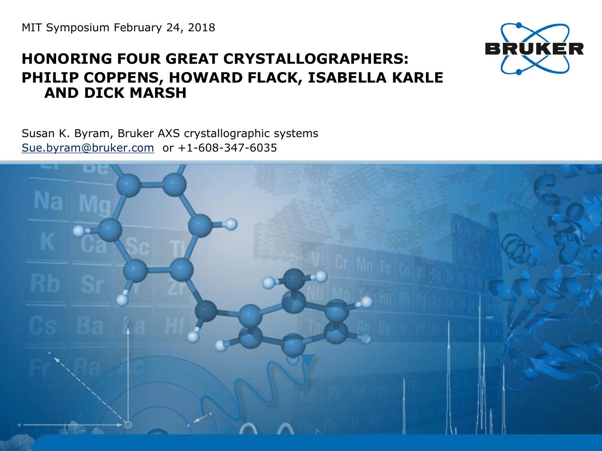MIT Symposium February 24, 2018

## **HONORING FOUR GREAT CRYSTALLOGRAPHERS: PHILIP COPPENS, HOWARD FLACK, ISABELLA KARLE AND DICK MARSH**

Susan K. Byram, Bruker AXS crystallographic systems [Sue.byram@bruker.com](mailto:Sue.byram@bruker.com) or +1-608-347-6035



BRUKÉR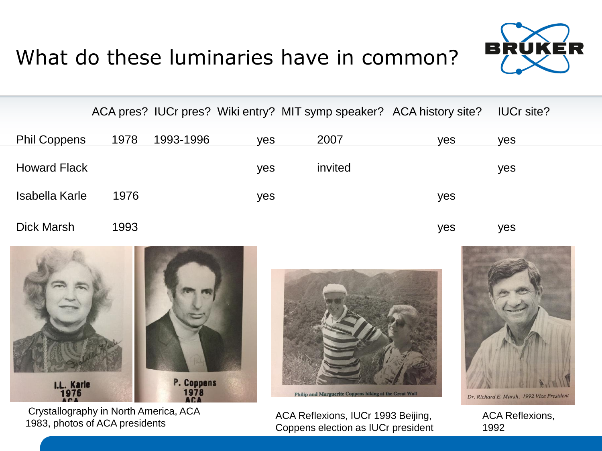



|                     |      |           |            | ACA pres? IUCr pres? Wiki entry? MIT symp speaker? ACA history site? |     | <b>IUCr site?</b> |  |
|---------------------|------|-----------|------------|----------------------------------------------------------------------|-----|-------------------|--|
| <b>Phil Coppens</b> | 1978 | 1993-1996 | <b>yes</b> | 2007                                                                 | yes | yes               |  |
| <b>Howard Flack</b> |      |           | yes        | invited                                                              |     | yes               |  |
| Isabella Karle      | 1976 |           | yes        |                                                                      | yes |                   |  |
| <b>Dick Marsh</b>   | 1993 |           |            |                                                                      | yes | yes               |  |



Philip and Marguerite Coppens hiking at the Great Wall

Dr. Richard E. Marsh, 1992 Vice President

ACA Reflexions, 1992

Crystallography in North America, ACA 1983, photos of ACA presidents

ACA Reflexions, IUCr 1993 Beijing, Coppens election as IUCr president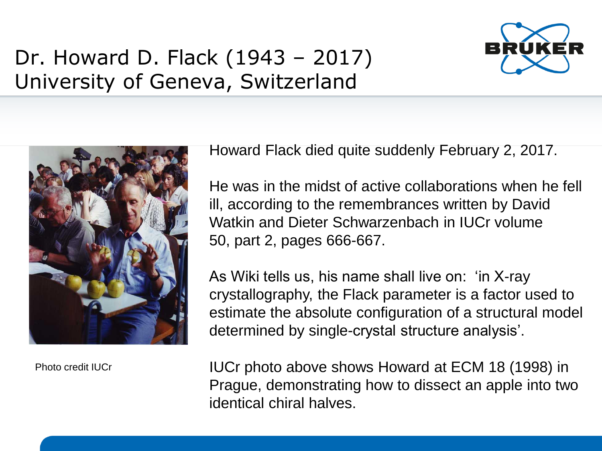

## Dr. Howard D. Flack (1943 – 2017) University of Geneva, Switzerland



Photo credit IUCr

Howard Flack died quite suddenly February 2, 2017.

He was in the midst of active collaborations when he fell ill, according to the remembrances written by David Watkin and Dieter Schwarzenbach in IUCr volume 50, part 2, pages 666-667.

As Wiki tells us, his name shall live on: 'in X-ray crystallography, the Flack parameter is a factor used to estimate the absolute configuration of a structural model determined by single-crystal structure analysis'.

IUCr photo above shows Howard at ECM 18 (1998) in Prague, demonstrating how to dissect an apple into two identical chiral halves.